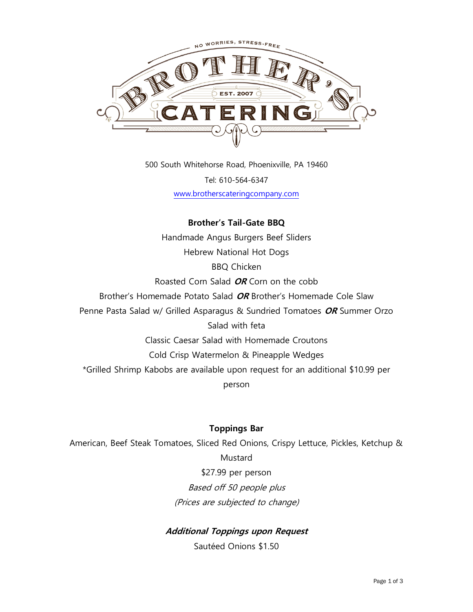

500 South Whitehorse Road, Phoenixville, PA 19460 Tel: 610-564-6347 [www.brotherscateringcompany.com](http://www.brotherscateringcompany.com/)

# **Brother's Tail-Gate BBQ** Handmade Angus Burgers Beef Sliders Hebrew National Hot Dogs BBQ Chicken Roasted Corn Salad **OR** Corn on the cobb Brother's Homemade Potato Salad **OR** Brother's Homemade Cole Slaw Penne Pasta Salad w/ Grilled Asparagus & Sundried Tomatoes **OR** Summer Orzo Salad with feta Classic Caesar Salad with Homemade Croutons Cold Crisp Watermelon & Pineapple Wedges \*Grilled Shrimp Kabobs are available upon request for an additional \$10.99 per person

# **Toppings Bar**

American, Beef Steak Tomatoes, Sliced Red Onions, Crispy Lettuce, Pickles, Ketchup & Mustard \$27.99 per person Based off 50 people plus (Prices are subjected to change)

# **Additional Toppings upon Request**

Sautéed Onions \$1.50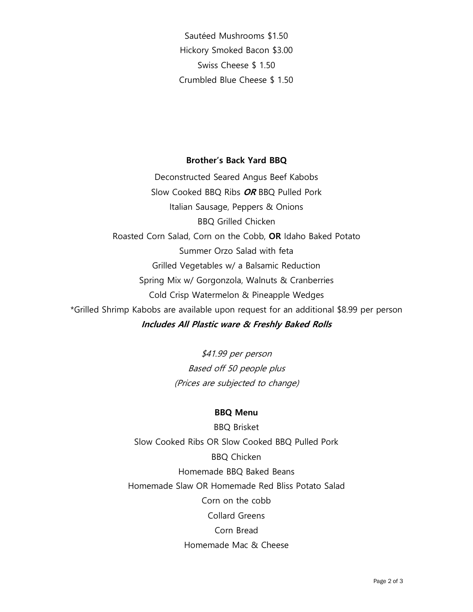Sautéed Mushrooms \$1.50 Hickory Smoked Bacon \$3.00 Swiss Cheese \$ 1.50 Crumbled Blue Cheese \$ 1.50

#### **Brother's Back Yard BBQ**

Deconstructed Seared Angus Beef Kabobs Slow Cooked BBQ Ribs **OR** BBQ Pulled Pork Italian Sausage, Peppers & Onions BBQ Grilled Chicken Roasted Corn Salad, Corn on the Cobb, **OR** Idaho Baked Potato Summer Orzo Salad with feta Grilled Vegetables w/ a Balsamic Reduction Spring Mix w/ Gorgonzola, Walnuts & Cranberries Cold Crisp Watermelon & Pineapple Wedges \*Grilled Shrimp Kabobs are available upon request for an additional \$8.99 per person **Includes All Plastic ware & Freshly Baked Rolls**

> \$41.99 per person Based off 50 people plus (Prices are subjected to change)

### **BBQ Menu**

BBQ Brisket Slow Cooked Ribs OR Slow Cooked BBQ Pulled Pork BBQ Chicken Homemade BBQ Baked Beans Homemade Slaw OR Homemade Red Bliss Potato Salad Corn on the cobb Collard Greens Corn Bread Homemade Mac & Cheese